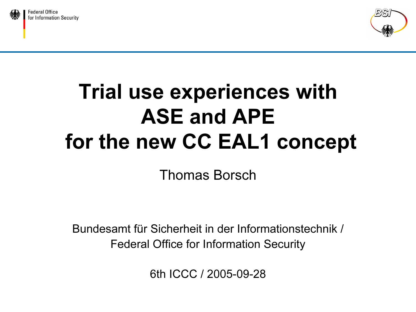



# Trial use experiences with ASE and APEfor the new CC EAL1 concept

Thomas Borsch

Bundesamt für Sicherheit in der Informationstechnik /Federal Office for Information Security

6th ICCC / 2005-09-28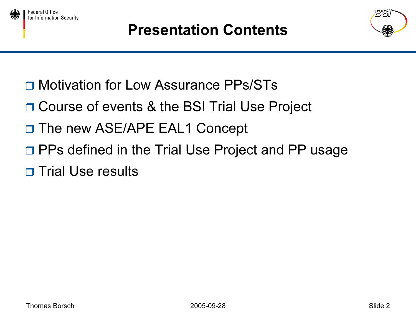





- **□ Motivation for Low Assurance PPs/STs**
- □ Course of events & the BSI Trial Use Project
- □ The new ASE/APE EAL1 Concept
- □ PPs defined in the Trial Use Project and PP usage
- □ Trial Use results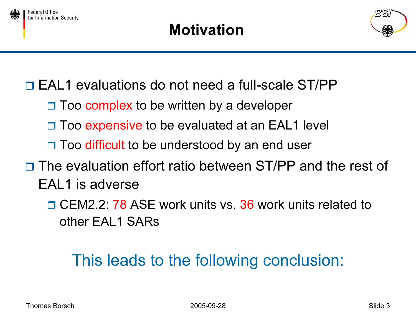



- □ EAL1 evaluations do not need a full-scale ST/PP
	- □ Too complex to be written by a developer
	- □ Too expensive to be evaluated at an EAL1 level
	- □ Too difficult to be understood by an end user
- □ The evaluation effort ratio between ST/PP and the rest of EAL1 is adverse
	- **□ CEM2.2: 78 ASE work units vs. 36 work units related to** other EAL1 SARs

# This leads to the following conclusion: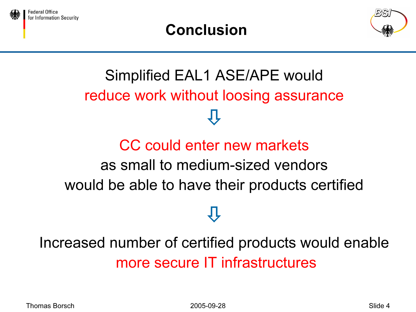





# Simplified EAL1 ASE/APE would reduce work without loosing assurance  $\bigoplus$

# CC could enter new marketsas small to medium-sized vendorswould be able to have their products certified

 $\overline{\psi}$ 

# Increased number of certified products would enable more secure IT infrastructures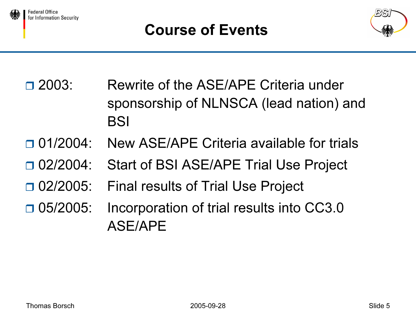



- $\Box$  2003: Rewrite of the ASE/APE Criteria under sponsorship of NLNSCA (lead nation) and BSI
- $\Box$  01/2004: New ASE/APE Criteria available for trials
- $\Box$  02/2004: Start of BSI ASE/APE Trial Use Project
- $\Box$  02/2005: **Final results of Trial Use Project**
- $\Box$  05/2005: Incorporation of trial results into CC3.0 ASE/APE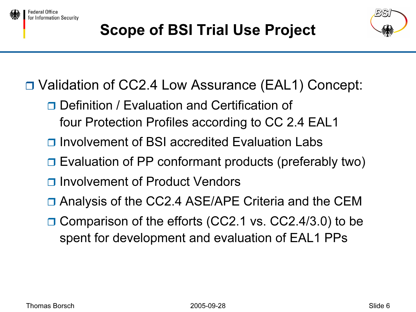

Federal Office

for Information Security



Validation of CC2.4 Low Assurance (EAL1) Concept:

- **□ Definition / Evaluation and Certification of** four Protection Profiles according to CC 2.4 EAL1
- **□** Involvement of BSI accredited Evaluation Labs
- **□** Evaluation of PP conformant products (preferably two)
- **□** Involvement of Product Vendors
- □ Analysis of the CC2.4 ASE/APE Criteria and the CEM
- **□ Comparison of the efforts (CC2.1 vs. CC2.4/3.0) to be** spent for development and evaluation of EAL1 PPs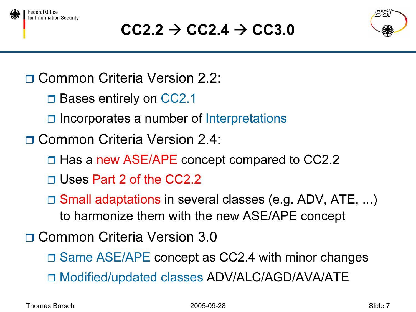



# $\texttt{CC2.2}\rightarrow \texttt{CC2.4}\rightarrow \texttt{CC3.0}$



□ Common Criteria Version 2.2:

□ Bases entirely on CC2.1

□ Incorporates a number of Interpretations

□ Common Criteria Version 2.4:

- **□ Has a new ASE/APE concept compared to CC2.2**
- □ Uses Part 2 of the CC2.2
- Small adaptations in several classes (e.g. ADV, ATE, ...) to harmonize them with the new ASE/APE concept

□ Common Criteria Version 3.0

□ Same ASE/APE concept as CC2.4 with minor changes Modified/updated classes ADV/ALC/AGD/AVA/ATE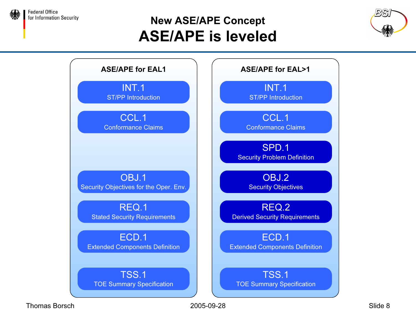

#### New ASE/APE Concept ASE/APE is leveled





Thomas Borsch 2005-09-28 Slide 8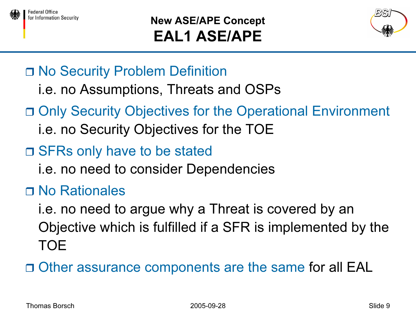

#### New ASE/APE Concept EAL1 ASE/APE



- □ No Security Problem Definition
	- i.e. no Assumptions, Threats and OSPs
- □ Only Security Objectives for the Operational Environment
	- i.e. no Security Objectives for the TOE
- □ SFRs only have to be stated
	- i.e. no need to consider Dependencies
- No Rationales
	- i.e. no need to argue why a Threat is covered by an Objective which is fulfilled if a SFR is implemented by the TOE
- Other assurance components are the same for all EAL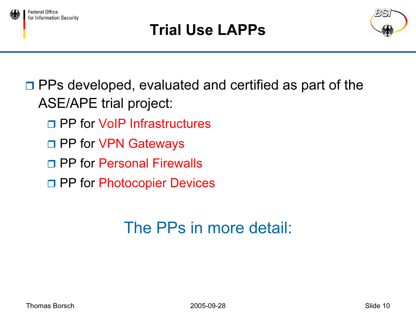

# Trial Use LAPPs



□ PPs developed, evaluated and certified as part of the ASE/APE trial project:

- □ PP for VoIP Infrastructures
- □ PP for VPN Gateways
- □ PP for Personal Firewalls
- □ PP for Photocopier Devices

# The PPs in more detail: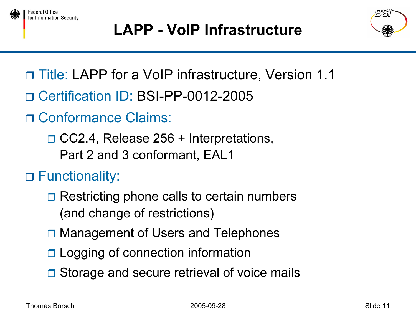



# LAPP - VoIP Infrastructure



- □ Title: LAPP for a VoIP infrastructure, Version 1.1
- □ Certification ID: BSI-PP-0012-2005
- □ Conformance Claims:

□ CC2.4, Release 256 + Interpretations, Part 2 and 3 conformant, EAL1

Functionality:

- $\Box$  Restricting phone calls to certain numbers (and change of restrictions)
- **□ Management of Users and Telephones**
- **□ Logging of connection information**
- **□** Storage and secure retrieval of voice mails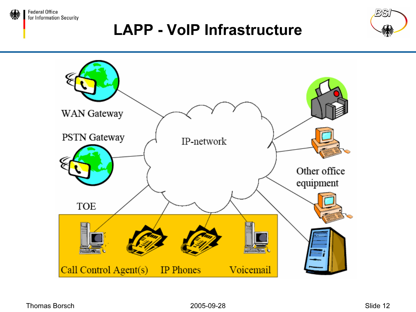

**Federal Office** for Information Security

### LAPP - VoIP Infrastructure



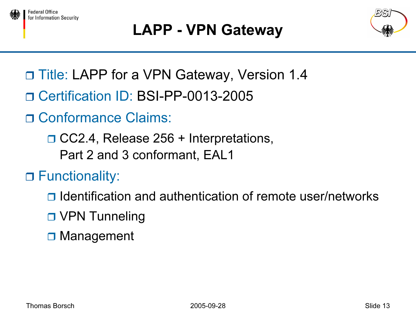

# LAPP - VPN Gateway



- □ Title: LAPP for a VPN Gateway, Version 1.4
- □ Certification ID: BSI-PP-0013-2005
- □ Conformance Claims:
	- **□ CC2.4, Release 256 + Interpretations,** Part 2 and 3 conformant, EAL1
- Functionality:
	- **□** Identification and authentication of remote user/networks
	- □ VPN Tunneling
	- **□ Management**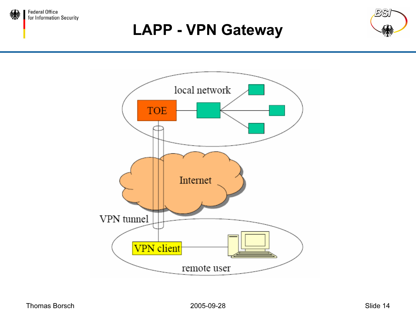

### LAPP - VPN Gateway



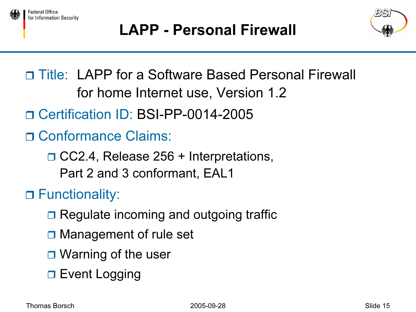



□ Title: LAPP for a Software Based Personal Firewall for home Internet use, Version 1.2

□ Certification ID: BSI-PP-0014-2005

□ Conformance Claims:

**□ CC2.4, Release 256 + Interpretations,** Part 2 and 3 conformant, EAL1

Functionality:

- **□ Regulate incoming and outgoing traffic**
- **□ Management of rule set**
- **□ Warning of the user**
- □ Event Logging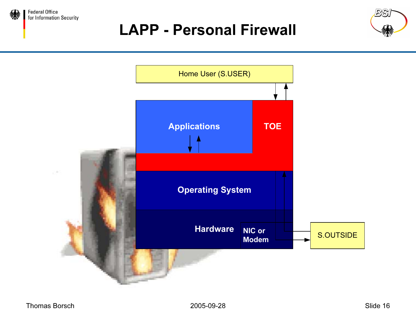

### LAPP - Personal Firewall



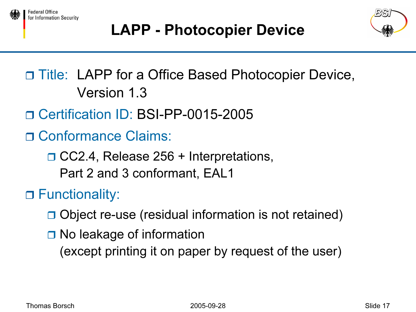





# □ Title: LAPP for a Office Based Photocopier Device, Version 1.3

- □ Certification ID: BSI-PP-0015-2005
- □ Conformance Claims:
	- **□ CC2.4, Release 256 + Interpretations,** Part 2 and 3 conformant, EAL1

Functionality:

- □ Object re-use (residual information is not retained)
- **□ No leakage of information** 
	- (except printing it on paper by request of the user)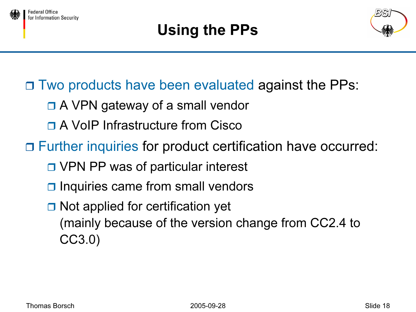



- **□ Two products have been evaluated against the PPs:** 
	- □ A VPN gateway of a small vendor
	- □ A VoIP Infrastructure from Cisco
- □ Further inquiries for product certification have occurred:
	- **□ VPN PP was of particular interest**
	- $\Box$  Inquiries came from small vendors
	- **□ Not applied for certification yet** (mainly because of the version change from CC2.4 to CC3.0)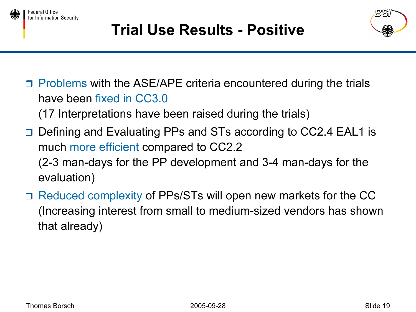





 $\Box$  Problems with the ASE/APE criteria encountered during the trials have been fixed in CC3.0

(17 Interpretations have been raised during the trials)

- □ Defining and Evaluating PPs and STs according to CC2.4 EAL1 is much more efficient compared to CC2.2 (2-3 man-days for the PP development and 3-4 man-days for the evaluation)
- $\Box$  Reduced complexity of PPs/STs will open new markets for the CC (Increasing interest from small to medium-sized vendors has shown that already)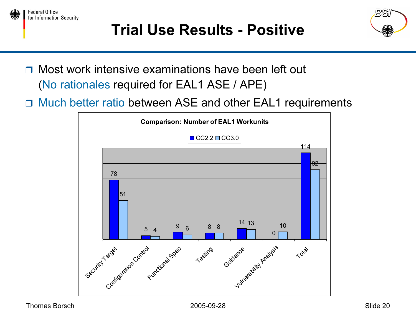

# Trial Use Results - Positive



- □ Most work intensive examinations have been left out (No rationales required for EAL1 ASE / APE)
- □ Much better ratio between ASE and other EAL1 requirements

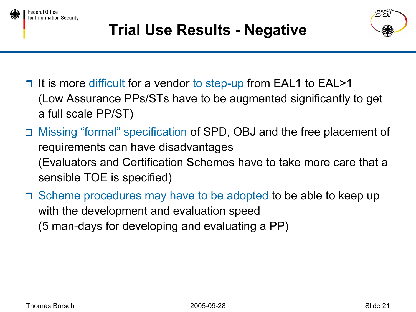

Federal Office

for Information Security





- $\Box$ It is more difficult for a vendor to step-up from EAL1 to EAL>1 (Low Assurance PPs/STs have to be augmented significantly to get a full scale PP/ST)
- Missing "formal" specification of SPD, OBJ and the free placement of requirements can have disadvantages (Evaluators and Certification Schemes have to take more care that a sensible TOE is specified)
- $\Box$  Scheme procedures may have to be adopted to be able to keep up with the development and evaluation speed (5 man-days for developing and evaluating a PP)